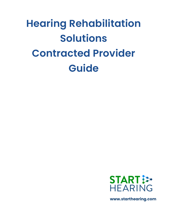# **Hearing Rehabilitation Solutions Contracted Provider Guide**



**www.starthearing.com**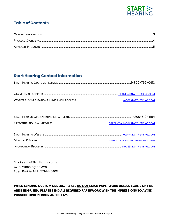

# **Table of Contents**

# **Start Hearing Contact Information**

| 1-800-510-4194 |
|----------------|
|                |

Starkey - ATTN: Start Hearing 6700 Washington Ave S Eden Prairie, MN 55344-3405

## WHEN SENDING CUSTOM ORDERS, PLEASE DO NOT EMAIL PAPERWORK UNLESS SCANS ON FILE ARE BEING USED. PLEASE SEND ALL REQUIRED PAPERWORK WITH THE IMPRESSIONS TO AVOID POSSIBLE ORDER ERROR AND DELAY.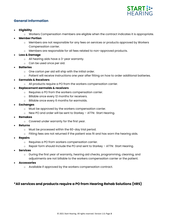

#### **General Information**

- **Eligibility**
	- o Workers Compensation members are eligible when the contract indicates it is appropriate.
- **Member Portion**
	- o Members are not responsible for any fees on services or products approved by Workers Compensation carrier.
	- o Members are responsible for all fees related to non-approved products.
- **Loss & Damage**
	- o All hearing aids have a 3-year warranty.
	- o Can be used once per aid.
- **Batteries**
	- o One carton per aid will ship with the initial order.
	- o Patient will receive instructions one year after fitting on how to order additional batteries.
- **Earmolds & Receivers**
	- o All products require a PO from the workers compensation carrier.
- **Replacement earmolds & receivers**
	- o Requires a PO from the workers compensation carrier.
	- o Billable once every 12 months for receivers.
	- o Billable once every 6 months for earmolds.
- **Exchanges**
	- o Must be approved by the workers compensation carrier.
	- o New PO and order will be sent to Starkey ATTN: Start Hearing.
- **Remakes**
	- o Covered under warranty for the first year.
- **Returns**
	- o Must be processed within the 60-day trial period.
	- $\circ$  Fitting fees are not returned if the patient was fit and has worn the hearing aids.
- **Repairs**
	- o Requires a PO from workers compensation carrier.
	- o Repair form should include the PO and sent to Starkey ATTN: Start Hearing.
- **Services**
	- o During the first year of warranty, hearing aid checks, programming, cleaning, and adjustments are not billable to the workers compensation carrier or the patient.
- **Accessories**
	- o Available if approved by the workers compensation contract.

#### **\*All services and products require a PO from Hearing Rehab Solutions (HRS)**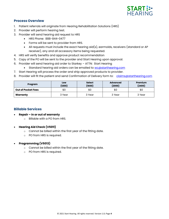

#### **Process Overview**

- 1. Patient referrals will originate from Hearing Rehabilitation Solutions (HRS)
- 2. Provider will perform hearing test.
- 3. Provider will send hearing aid request to HRS
	- HRS Phone: 888-844-0477
	- Forms will be sent to provider from HRS.
	- All requests must include the exact hearing aid(s), earmolds, receivers (standard or AP receiver), any and all accessory items being requested.
- 4. HRS will verify benefits and approve product recommendation
- 5. Copy of the PO will be sent to the provider and Start Hearing upon approval.
- 6. Provider will send hearing aid order to Starkey ATTN: Start Hearing
	- Standard hearing aid orders can be emailed to [wc@starthearing.com](mailto:wc@starthearing.com)
- 7. Start Hearing will process the order and ship approved products to provider.
- 8. Provider will fit the patient and send Confirmation of Delivery form to: [claims@starthearing.com](mailto:claims@starthearing.com)

| Program                   | Low<br>(1200) | <b>Select</b><br>(1600) | <b>Advanced</b><br>(2000) | <b>Premium</b><br>(2400) |
|---------------------------|---------------|-------------------------|---------------------------|--------------------------|
| <b>Out of Pocket Fees</b> | \$0           | \$0                     | \$0                       | \$0                      |
| Warranty                  | 3 Year        | 3 Year                  | 3 Year                    | 3 Year                   |

#### **Billable Services**

- **Repair – In or out of warranty**
	- o Billable with a PO from HRS.
- **Hearing Aid Check (V5011)**
	- o Cannot be billed within the first year of the fitting date.
	- o PO from HRS is required.

#### • **Programming (V5013)**

- o Cannot be billed within the first year of the fitting date.
- o PO from HRS is required.